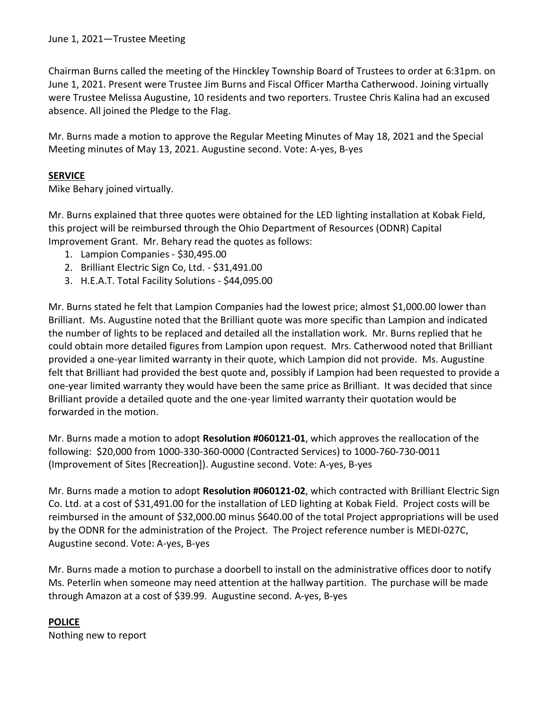Chairman Burns called the meeting of the Hinckley Township Board of Trustees to order at 6:31pm. on June 1, 2021. Present were Trustee Jim Burns and Fiscal Officer Martha Catherwood. Joining virtually were Trustee Melissa Augustine, 10 residents and two reporters. Trustee Chris Kalina had an excused absence. All joined the Pledge to the Flag.

Mr. Burns made a motion to approve the Regular Meeting Minutes of May 18, 2021 and the Special Meeting minutes of May 13, 2021. Augustine second. Vote: A-yes, B-yes

## **SERVICE**

Mike Behary joined virtually.

Mr. Burns explained that three quotes were obtained for the LED lighting installation at Kobak Field, this project will be reimbursed through the Ohio Department of Resources (ODNR) Capital Improvement Grant. Mr. Behary read the quotes as follows:

- 1. Lampion Companies \$30,495.00
- 2. Brilliant Electric Sign Co, Ltd. \$31,491.00
- 3. H.E.A.T. Total Facility Solutions \$44,095.00

Mr. Burns stated he felt that Lampion Companies had the lowest price; almost \$1,000.00 lower than Brilliant. Ms. Augustine noted that the Brilliant quote was more specific than Lampion and indicated the number of lights to be replaced and detailed all the installation work. Mr. Burns replied that he could obtain more detailed figures from Lampion upon request. Mrs. Catherwood noted that Brilliant provided a one-year limited warranty in their quote, which Lampion did not provide. Ms. Augustine felt that Brilliant had provided the best quote and, possibly if Lampion had been requested to provide a one-year limited warranty they would have been the same price as Brilliant. It was decided that since Brilliant provide a detailed quote and the one-year limited warranty their quotation would be forwarded in the motion.

Mr. Burns made a motion to adopt **Resolution #060121-01**, which approves the reallocation of the following: \$20,000 from 1000-330-360-0000 (Contracted Services) to 1000-760-730-0011 (Improvement of Sites [Recreation]). Augustine second. Vote: A-yes, B-yes

Mr. Burns made a motion to adopt **Resolution #060121-02**, which contracted with Brilliant Electric Sign Co. Ltd. at a cost of \$31,491.00 for the installation of LED lighting at Kobak Field. Project costs will be reimbursed in the amount of \$32,000.00 minus \$640.00 of the total Project appropriations will be used by the ODNR for the administration of the Project. The Project reference number is MEDI-027C, Augustine second. Vote: A-yes, B-yes

Mr. Burns made a motion to purchase a doorbell to install on the administrative offices door to notify Ms. Peterlin when someone may need attention at the hallway partition. The purchase will be made through Amazon at a cost of \$39.99. Augustine second. A-yes, B-yes

**POLICE** Nothing new to report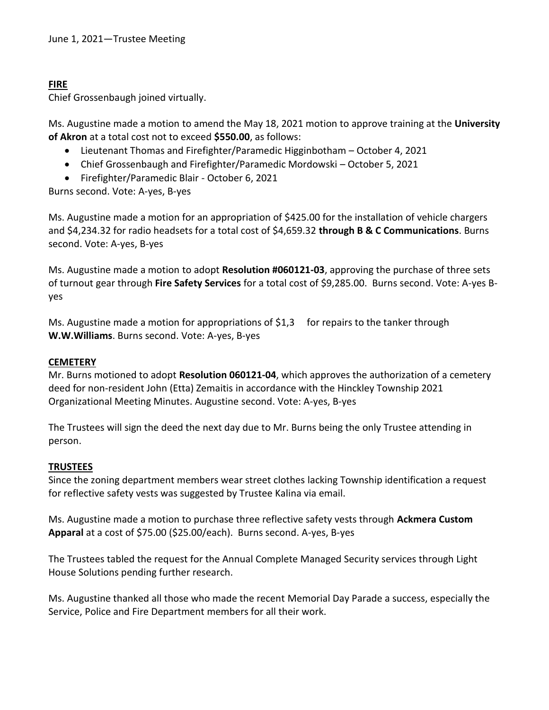### **FIRE**

Chief Grossenbaugh joined virtually.

Ms. Augustine made a motion to amend the May 18, 2021 motion to approve training at the **University of Akron** at a total cost not to exceed **\$550.00**, as follows:

- Lieutenant Thomas and Firefighter/Paramedic Higginbotham October 4, 2021
- Chief Grossenbaugh and Firefighter/Paramedic Mordowski October 5, 2021
- Firefighter/Paramedic Blair October 6, 2021

Burns second. Vote: A-yes, B-yes

Ms. Augustine made a motion for an appropriation of \$425.00 for the installation of vehicle chargers and \$4,234.32 for radio headsets for a total cost of \$4,659.32 **through B & C Communications**. Burns second. Vote: A-yes, B-yes

Ms. Augustine made a motion to adopt **Resolution #060121-03**, approving the purchase of three sets of turnout gear through **Fire Safety Services** for a total cost of \$9,285.00. Burns second. Vote: A-yes Byes

Ms. Augustine made a motion for appropriations of \$1,3 for repairs to the tanker through **W.W.Williams**. Burns second. Vote: A-yes, B-yes

#### **CEMETERY**

Mr. Burns motioned to adopt **Resolution 060121-04**, which approves the authorization of a cemetery deed for non-resident John (Etta) Zemaitis in accordance with the Hinckley Township 2021 Organizational Meeting Minutes. Augustine second. Vote: A-yes, B-yes

The Trustees will sign the deed the next day due to Mr. Burns being the only Trustee attending in person.

#### **TRUSTEES**

Since the zoning department members wear street clothes lacking Township identification a request for reflective safety vests was suggested by Trustee Kalina via email.

Ms. Augustine made a motion to purchase three reflective safety vests through **Ackmera Custom Apparal** at a cost of \$75.00 (\$25.00/each). Burns second. A-yes, B-yes

The Trustees tabled the request for the Annual Complete Managed Security services through Light House Solutions pending further research.

Ms. Augustine thanked all those who made the recent Memorial Day Parade a success, especially the Service, Police and Fire Department members for all their work.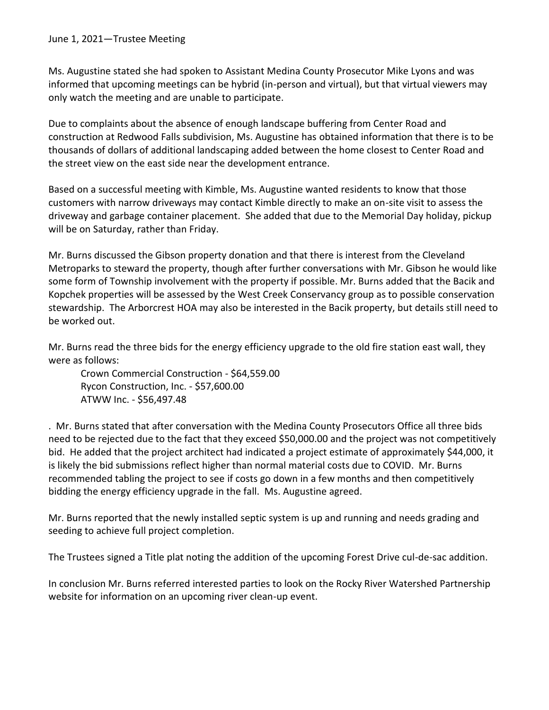Ms. Augustine stated she had spoken to Assistant Medina County Prosecutor Mike Lyons and was informed that upcoming meetings can be hybrid (in-person and virtual), but that virtual viewers may only watch the meeting and are unable to participate.

Due to complaints about the absence of enough landscape buffering from Center Road and construction at Redwood Falls subdivision, Ms. Augustine has obtained information that there is to be thousands of dollars of additional landscaping added between the home closest to Center Road and the street view on the east side near the development entrance.

Based on a successful meeting with Kimble, Ms. Augustine wanted residents to know that those customers with narrow driveways may contact Kimble directly to make an on-site visit to assess the driveway and garbage container placement. She added that due to the Memorial Day holiday, pickup will be on Saturday, rather than Friday.

Mr. Burns discussed the Gibson property donation and that there is interest from the Cleveland Metroparks to steward the property, though after further conversations with Mr. Gibson he would like some form of Township involvement with the property if possible. Mr. Burns added that the Bacik and Kopchek properties will be assessed by the West Creek Conservancy group as to possible conservation stewardship. The Arborcrest HOA may also be interested in the Bacik property, but details still need to be worked out.

Mr. Burns read the three bids for the energy efficiency upgrade to the old fire station east wall, they were as follows:

Crown Commercial Construction - \$64,559.00 Rycon Construction, Inc. - \$57,600.00 ATWW Inc. - \$56,497.48

. Mr. Burns stated that after conversation with the Medina County Prosecutors Office all three bids need to be rejected due to the fact that they exceed \$50,000.00 and the project was not competitively bid. He added that the project architect had indicated a project estimate of approximately \$44,000, it is likely the bid submissions reflect higher than normal material costs due to COVID. Mr. Burns recommended tabling the project to see if costs go down in a few months and then competitively bidding the energy efficiency upgrade in the fall. Ms. Augustine agreed.

Mr. Burns reported that the newly installed septic system is up and running and needs grading and seeding to achieve full project completion.

The Trustees signed a Title plat noting the addition of the upcoming Forest Drive cul-de-sac addition.

In conclusion Mr. Burns referred interested parties to look on the Rocky River Watershed Partnership website for information on an upcoming river clean-up event.